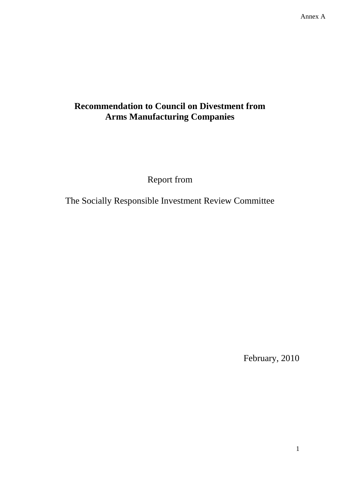# **Recommendation to Council on Divestment from Arms Manufacturing Companies**

Report from

The Socially Responsible Investment Review Committee

February, 2010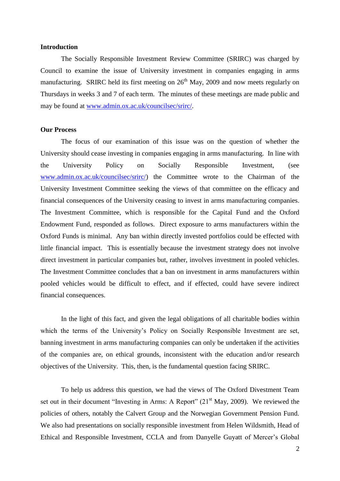# **Introduction**

The Socially Responsible Investment Review Committee (SRIRC) was charged by Council to examine the issue of University investment in companies engaging in arms manufacturing. SRIRC held its first meeting on  $26<sup>th</sup>$  May, 2009 and now meets regularly on Thursdays in weeks 3 and 7 of each term. The minutes of these meetings are made public and may be found at [www.admin.ox.ac.uk/councilsec/srirc/.](http://www.admin.ox.ac.uk/councilsec/srirc/)

## **Our Process**

The focus of our examination of this issue was on the question of whether the University should cease investing in companies engaging in arms manufacturing. In line with the University Policy on Socially Responsible Investment, (see [www.admin.ox.ac.uk/councilsec/srirc/\)](http://www.admin.ox.ac.uk/councilsec/srirc/) the Committee wrote to the Chairman of the University Investment Committee seeking the views of that committee on the efficacy and financial consequences of the University ceasing to invest in arms manufacturing companies. The Investment Committee, which is responsible for the Capital Fund and the Oxford Endowment Fund, responded as follows. Direct exposure to arms manufacturers within the Oxford Funds is minimal. Any ban within directly invested portfolios could be effected with little financial impact. This is essentially because the investment strategy does not involve direct investment in particular companies but, rather, involves investment in pooled vehicles. The Investment Committee concludes that a ban on investment in arms manufacturers within pooled vehicles would be difficult to effect, and if effected, could have severe indirect financial consequences.

In the light of this fact, and given the legal obligations of all charitable bodies within which the terms of the University's Policy on Socially Responsible Investment are set, banning investment in arms manufacturing companies can only be undertaken if the activities of the companies are, on ethical grounds, inconsistent with the education and/or research objectives of the University. This, then, is the fundamental question facing SRIRC.

To help us address this question, we had the views of The Oxford Divestment Team set out in their document "Investing in Arms: A Report"  $(21<sup>st</sup>$  May, 2009). We reviewed the policies of others, notably the Calvert Group and the Norwegian Government Pension Fund. We also had presentations on socially responsible investment from Helen Wildsmith, Head of Ethical and Responsible Investment, CCLA and from Danyelle Guyatt of Mercer's Global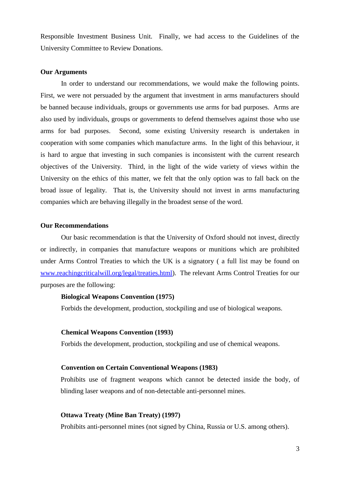Responsible Investment Business Unit. Finally, we had access to the Guidelines of the University Committee to Review Donations.

# **Our Arguments**

In order to understand our recommendations, we would make the following points. First, we were not persuaded by the argument that investment in arms manufacturers should be banned because individuals, groups or governments use arms for bad purposes. Arms are also used by individuals, groups or governments to defend themselves against those who use arms for bad purposes. Second, some existing University research is undertaken in cooperation with some companies which manufacture arms. In the light of this behaviour, it is hard to argue that investing in such companies is inconsistent with the current research objectives of the University. Third, in the light of the wide variety of views within the University on the ethics of this matter, we felt that the only option was to fall back on the broad issue of legality. That is, the University should not invest in arms manufacturing companies which are behaving illegally in the broadest sense of the word.

#### **Our Recommendations**

Our basic recommendation is that the University of Oxford should not invest, directly or indirectly, in companies that manufacture weapons or munitions which are prohibited under Arms Control Treaties to which the UK is a signatory ( a full list may be found on [www.reachingcriticalwill.org/legal/treaties.html\)](http://www.reachingcriticalwill.org/legal/treaties.html). The relevant Arms Control Treaties for our purposes are the following:

## **Biological Weapons Convention (1975)**

Forbids the development, production, stockpiling and use of biological weapons.

#### **Chemical Weapons Convention (1993)**

Forbids the development, production, stockpiling and use of chemical weapons.

## **Convention on Certain Conventional Weapons (1983)**

Prohibits use of fragment weapons which cannot be detected inside the body, of blinding laser weapons and of non-detectable anti-personnel mines.

#### **Ottawa Treaty (Mine Ban Treaty) (1997)**

Prohibits anti-personnel mines (not signed by China, Russia or U.S. among others).